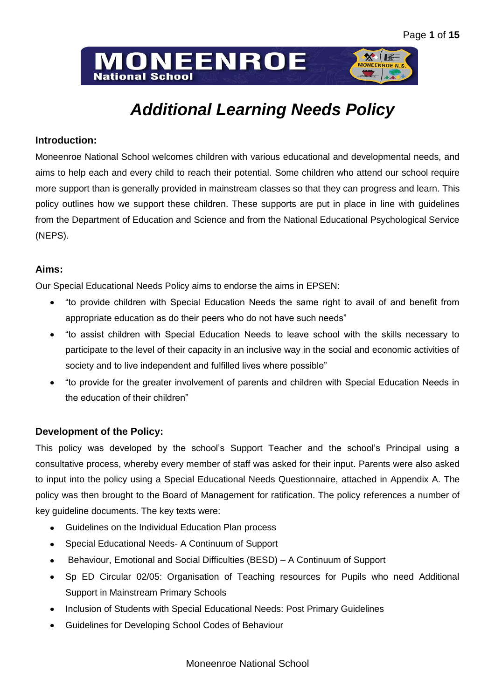# **ONEENROE National School**



# *Additional Learning Needs Policy*

# **Introduction:**

Moneenroe National School welcomes children with various educational and developmental needs, and aims to help each and every child to reach their potential. Some children who attend our school require more support than is generally provided in mainstream classes so that they can progress and learn. This policy outlines how we support these children. These supports are put in place in line with guidelines from the Department of Education and Science and from the National Educational Psychological Service (NEPS).

# **Aims:**

Our Special Educational Needs Policy aims to endorse the aims in EPSEN:

- "to provide children with Special Education Needs the same right to avail of and benefit from appropriate education as do their peers who do not have such needs"
- "to assist children with Special Education Needs to leave school with the skills necessary to  $\bullet$ participate to the level of their capacity in an inclusive way in the social and economic activities of society and to live independent and fulfilled lives where possible"
- "to provide for the greater involvement of parents and children with Special Education Needs in the education of their children"

# **Development of the Policy:**

This policy was developed by the school's Support Teacher and the school's Principal using a consultative process, whereby every member of staff was asked for their input. Parents were also asked to input into the policy using a Special Educational Needs Questionnaire, attached in Appendix A. The policy was then brought to the Board of Management for ratification. The policy references a number of key guideline documents. The key texts were:

- Guidelines on the Individual Education Plan process  $\bullet$
- Special Educational Needs- A Continuum of Support
- Behaviour, Emotional and Social Difficulties (BESD) A Continuum of Support
- Sp ED Circular 02/05: Organisation of Teaching resources for Pupils who need Additional  $\bullet$ Support in Mainstream Primary Schools
- Inclusion of Students with Special Educational Needs: Post Primary Guidelines
- Guidelines for Developing School Codes of Behaviour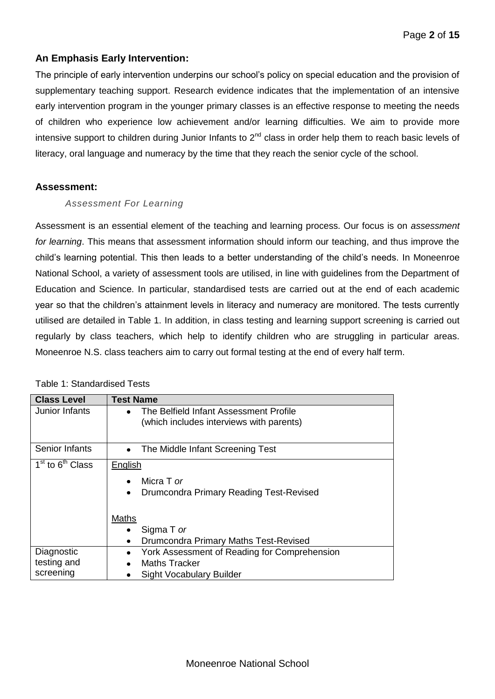# **An Emphasis Early Intervention:**

The principle of early intervention underpins our school's policy on special education and the provision of supplementary teaching support. Research evidence indicates that the implementation of an intensive early intervention program in the younger primary classes is an effective response to meeting the needs of children who experience low achievement and/or learning difficulties. We aim to provide more intensive support to children during Junior Infants to  $2^{nd}$  class in order help them to reach basic levels of literacy, oral language and numeracy by the time that they reach the senior cycle of the school.

#### **Assessment:**

#### *Assessment For Learning*

Assessment is an essential element of the teaching and learning process. Our focus is on *assessment for learning*. This means that assessment information should inform our teaching, and thus improve the child's learning potential. This then leads to a better understanding of the child's needs. In Moneenroe National School, a variety of assessment tools are utilised, in line with guidelines from the Department of Education and Science. In particular, standardised tests are carried out at the end of each academic year so that the children's attainment levels in literacy and numeracy are monitored. The tests currently utilised are detailed in Table 1. In addition, in class testing and learning support screening is carried out regularly by class teachers, which help to identify children who are struggling in particular areas. Moneenroe N.S. class teachers aim to carry out formal testing at the end of every half term.

| <b>Class Level</b>                       | <b>Test Name</b>                                                                                                                           |  |  |  |
|------------------------------------------|--------------------------------------------------------------------------------------------------------------------------------------------|--|--|--|
| Junior Infants                           | The Belfield Infant Assessment Profile<br>$\bullet$<br>(which includes interviews with parents)                                            |  |  |  |
| Senior Infants                           | The Middle Infant Screening Test<br>$\bullet$                                                                                              |  |  |  |
| 1 <sup>st</sup> to 6 <sup>th</sup> Class | English<br>Micra T or<br>Drumcondra Primary Reading Test-Revised<br>٠<br>Maths<br>Sigma T or<br>Drumcondra Primary Maths Test-Revised<br>٠ |  |  |  |
| Diagnostic<br>testing and<br>screening   | York Assessment of Reading for Comprehension<br><b>Maths Tracker</b><br><b>Sight Vocabulary Builder</b>                                    |  |  |  |

#### Table 1: Standardised Tests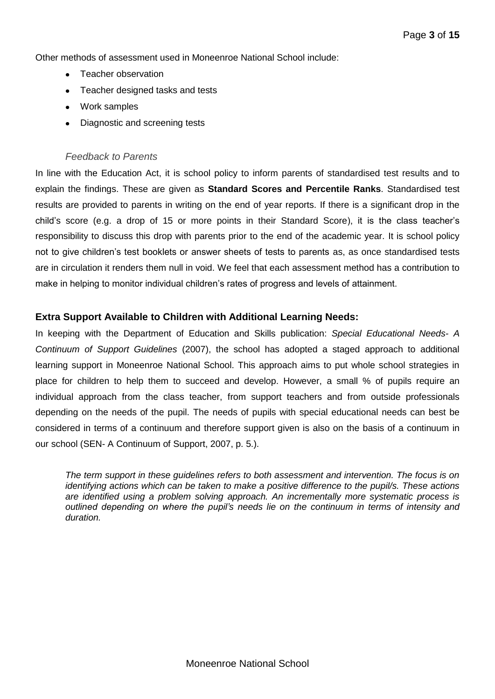Other methods of assessment used in Moneenroe National School include:

- Teacher observation
- Teacher designed tasks and tests  $\bullet$
- Work samples
- Diagnostic and screening tests

#### *Feedback to Parents*

In line with the Education Act, it is school policy to inform parents of standardised test results and to explain the findings. These are given as **Standard Scores and Percentile Ranks**. Standardised test results are provided to parents in writing on the end of year reports. If there is a significant drop in the child's score (e.g. a drop of 15 or more points in their Standard Score), it is the class teacher's responsibility to discuss this drop with parents prior to the end of the academic year. It is school policy not to give children's test booklets or answer sheets of tests to parents as, as once standardised tests are in circulation it renders them null in void. We feel that each assessment method has a contribution to make in helping to monitor individual children's rates of progress and levels of attainment.

#### **Extra Support Available to Children with Additional Learning Needs:**

In keeping with the Department of Education and Skills publication: *Special Educational Needs- A Continuum of Support Guidelines* (2007), the school has adopted a staged approach to additional learning support in Moneenroe National School. This approach aims to put whole school strategies in place for children to help them to succeed and develop. However, a small % of pupils require an individual approach from the class teacher, from support teachers and from outside professionals depending on the needs of the pupil. The needs of pupils with special educational needs can best be considered in terms of a continuum and therefore support given is also on the basis of a continuum in our school (SEN- A Continuum of Support, 2007, p. 5.).

*The term support in these guidelines refers to both assessment and intervention. The focus is on identifying actions which can be taken to make a positive difference to the pupil/s. These actions are identified using a problem solving approach. An incrementally more systematic process is outlined depending on where the pupil's needs lie on the continuum in terms of intensity and duration.*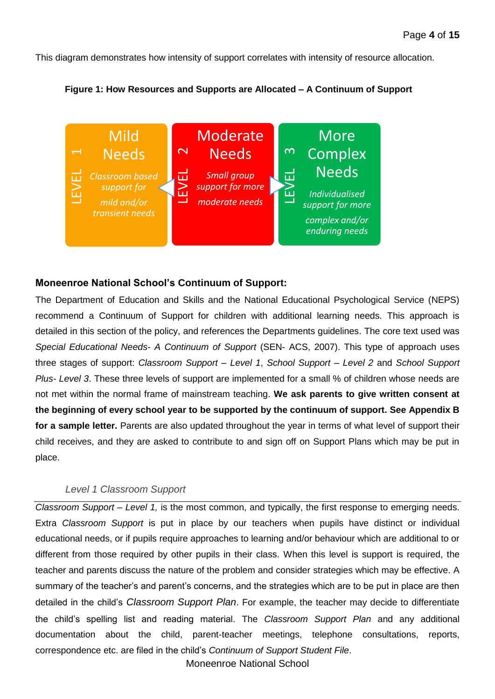This diagram demonstrates how intensity of support correlates with intensity of resource allocation.





#### **Moneenroe National School's Continuum of Support:**

The Department of Education and Skills and the National Educational Psychological Service (NEPS) recommend a Continuum of Support for children with additional learning needs. This approach is detailed in this section of the policy, and references the Departments guidelines. The core text used was *Special Educational Needs- A Continuum of Support* (SEN- ACS, 2007). This type of approach uses three stages of support: *Classroom Support – Level 1*, *School Support – Level 2* and *School Support Plus- Level 3*. These three levels of support are implemented for a small % of children whose needs are not met within the normal frame of mainstream teaching. **We ask parents to give written consent at the beginning of every school year to be supported by the continuum of support. See Appendix B for a sample letter.** Parents are also updated throughout the year in terms of what level of support their child receives, and they are asked to contribute to and sign off on Support Plans which may be put in place. Correspondence **Examplementation** and grid and the mind and the correspondence etc. are filed in the child's Correspondence etc. are filed in the beginning is the material set of the policy and references the Department of

#### *Level 1 Classroom Support*

*Classroom Support* – *Level 1,* is the most common, and typically, the first response to emerging needs. Extra *Classroom Support* is put in place by our teachers when pupils have distinct or individual educational needs, or if pupils require approaches to learning and/or behaviour which are additional to or different from those required by other pupils in their class. When this level is support is required, the teacher and parents discuss the nature of the problem and consider strategies which may be effective. A summary of the teacher's and parent's concerns, and the strategies which are to be put in place are then detailed in the child's *Classroom Support Plan*. For example, the teacher may decide to differentiate the child's spelling list and reading material. The *Classroom Support Plan* and any additional documentation about the child, parent-teacher meetings, telephone consultations, reports,

Moneenroe National School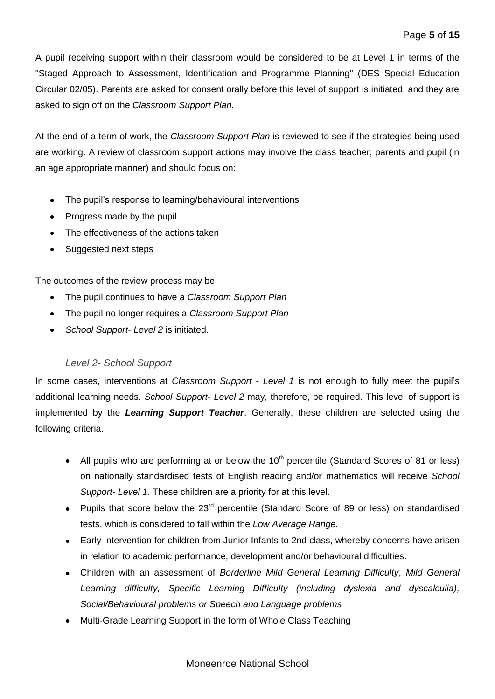A pupil receiving support within their classroom would be considered to be at Level 1 in terms of the "Staged Approach to Assessment, Identification and Programme Planning" (DES Special Education Circular 02/05). Parents are asked for consent orally before this level of support is initiated, and they are asked to sign off on the *Classroom Support Plan.*

At the end of a term of work, the *Classroom Support Plan* is reviewed to see if the strategies being used are working. A review of classroom support actions may involve the class teacher, parents and pupil (in an age appropriate manner) and should focus on:

- The pupil's response to learning/behavioural interventions  $\bullet$
- Progress made by the pupil
- The effectiveness of the actions taken
- Suggested next steps

The outcomes of the review process may be:

- The pupil continues to have a *Classroom Support Plan*
- The pupil no longer requires a *Classroom Support Plan*  $\bullet$
- *School Support- Level 2* is initiated.

## *Level 2- School Support*

In some cases, interventions at *Classroom Support - Level 1* is not enough to fully meet the pupil's additional learning needs. *School Support- Level 2* may, therefore, be required. This level of support is implemented by the *Learning Support Teacher*. Generally, these children are selected using the following criteria.

- All pupils who are performing at or below the  $10<sup>th</sup>$  percentile (Standard Scores of 81 or less) on nationally standardised tests of English reading and/or mathematics will receive *School Support- Level 1.* These children are a priority for at this level.
- Pupils that score below the  $23<sup>rd</sup>$  percentile (Standard Score of 89 or less) on standardised tests, which is considered to fall within the *Low Average Range.*
- Early Intervention for children from Junior Infants to 2nd class, whereby concerns have arisen in relation to academic performance, development and/or behavioural difficulties.
- Children with an assessment of *Borderline Mild General Learning Difficulty*, *Mild General Learning difficulty, Specific Learning Difficulty (including dyslexia and dyscalculia), Social/Behavioural problems or Speech and Language problems*
- Multi-Grade Learning Support in the form of Whole Class Teaching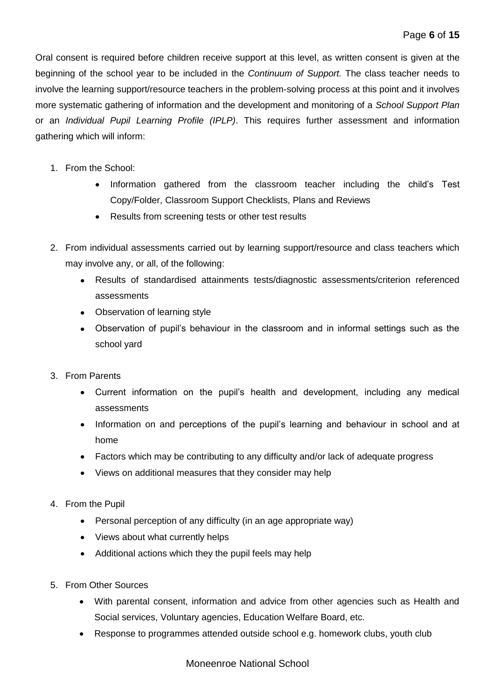Oral consent is required before children receive support at this level, as written consent is given at the beginning of the school year to be included in the *Continuum of Support.* The class teacher needs to involve the learning support/resource teachers in the problem-solving process at this point and it involves more systematic gathering of information and the development and monitoring of a *School Support Plan*  or an *Individual Pupil Learning Profile (IPLP)*. This requires further assessment and information gathering which will inform:

- 1. From the School:
	- Information gathered from the classroom teacher including the child's Test Copy/Folder, Classroom Support Checklists, Plans and Reviews
	- Results from screening tests or other test results
- 2. From individual assessments carried out by learning support/resource and class teachers which may involve any, or all, of the following:
	- Results of standardised attainments tests/diagnostic assessments/criterion referenced assessments
	- Observation of learning style
	- Observation of pupil's behaviour in the classroom and in informal settings such as the school yard
- 3. From Parents
	- Current information on the pupil's health and development, including any medical assessments
	- Information on and perceptions of the pupil's learning and behaviour in school and at home
	- Factors which may be contributing to any difficulty and/or lack of adequate progress
	- Views on additional measures that they consider may help
- 4. From the Pupil
	- Personal perception of any difficulty (in an age appropriate way)
	- Views about what currently helps
	- Additional actions which they the pupil feels may help
- 5. From Other Sources
	- With parental consent, information and advice from other agencies such as Health and Social services, Voluntary agencies, Education Welfare Board, etc.
	- Response to programmes attended outside school e.g. homework clubs, youth club

Moneenroe National School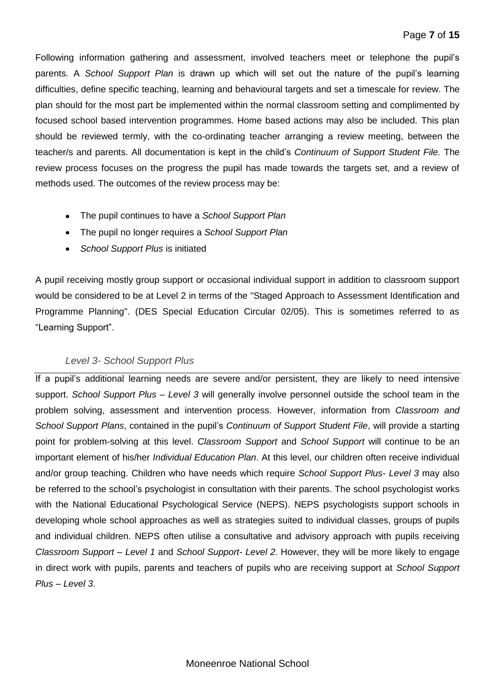Following information gathering and assessment, involved teachers meet or telephone the pupil's parents. A *School Support Plan* is drawn up which will set out the nature of the pupil's learning difficulties, define specific teaching, learning and behavioural targets and set a timescale for review. The plan should for the most part be implemented within the normal classroom setting and complimented by focused school based intervention programmes. Home based actions may also be included. This plan should be reviewed termly, with the co-ordinating teacher arranging a review meeting, between the teacher/s and parents. All documentation is kept in the child's *Continuum of Support Student File.* The review process focuses on the progress the pupil has made towards the targets set, and a review of methods used. The outcomes of the review process may be:

- The pupil continues to have a *School Support Plan*
- The pupil no longer requires a *School Support Plan*
- *School Support Plus* is initiated

A pupil receiving mostly group support or occasional individual support in addition to classroom support would be considered to be at Level 2 in terms of the "Staged Approach to Assessment Identification and Programme Planning". (DES Special Education Circular 02/05). This is sometimes referred to as "Learning Support".

## *Level 3- School Support Plus*

If a pupil's additional learning needs are severe and/or persistent, they are likely to need intensive support. *School Support Plus* – *Level 3* will generally involve personnel outside the school team in the problem solving, assessment and intervention process. However, information from *Classroom and School Support Plans*, contained in the pupil's *Continuum of Support Student File*, will provide a starting point for problem-solving at this level. *Classroom Support* and *School Support* will continue to be an important element of his/her *Individual Education Plan*. At this level, our children often receive individual and/or group teaching. Children who have needs which require *School Support Plus- Level 3* may also be referred to the school's psychologist in consultation with their parents. The school psychologist works with the National Educational Psychological Service (NEPS). NEPS psychologists support schools in developing whole school approaches as well as strategies suited to individual classes, groups of pupils and individual children. NEPS often utilise a consultative and advisory approach with pupils receiving *Classroom Support – Level 1* and *School Support- Level 2*. However, they will be more likely to engage in direct work with pupils, parents and teachers of pupils who are receiving support at *School Support Plus – Level 3*.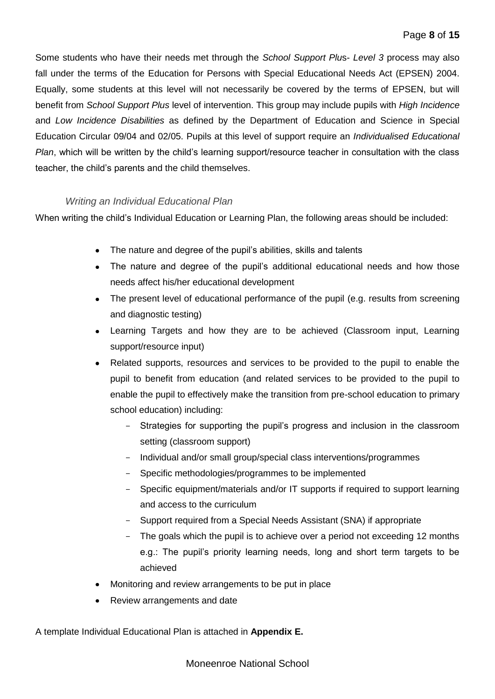Some students who have their needs met through the *School Support Plu*s- *Level 3* process may also fall under the terms of the Education for Persons with Special Educational Needs Act (EPSEN) 2004. Equally, some students at this level will not necessarily be covered by the terms of EPSEN, but will benefit from *School Support Plus* level of intervention. This group may include pupils with *High Incidence*  and *Low Incidence Disabilities* as defined by the Department of Education and Science in Special Education Circular 09/04 and 02/05. Pupils at this level of support require an *Individualised Educational Plan*, which will be written by the child's learning support/resource teacher in consultation with the class teacher, the child's parents and the child themselves.

#### *Writing an Individual Educational Plan*

When writing the child's Individual Education or Learning Plan, the following areas should be included:

- The nature and degree of the pupil's abilities, skills and talents
- The nature and degree of the pupil's additional educational needs and how those needs affect his/her educational development
- The present level of educational performance of the pupil (e.g. results from screening and diagnostic testing)
- Learning Targets and how they are to be achieved (Classroom input, Learning support/resource input)
- Related supports, resources and services to be provided to the pupil to enable the pupil to benefit from education (and related services to be provided to the pupil to enable the pupil to effectively make the transition from pre-school education to primary school education) including:
	- Strategies for supporting the pupil's progress and inclusion in the classroom setting (classroom support)
	- Individual and/or small group/special class interventions/programmes
	- Specific methodologies/programmes to be implemented
	- Specific equipment/materials and/or IT supports if required to support learning and access to the curriculum
	- Support required from a Special Needs Assistant (SNA) if appropriate
	- The goals which the pupil is to achieve over a period not exceeding 12 months e.g.: The pupil's priority learning needs, long and short term targets to be achieved
- Monitoring and review arrangements to be put in place
- Review arrangements and date

A template Individual Educational Plan is attached in **Appendix E.**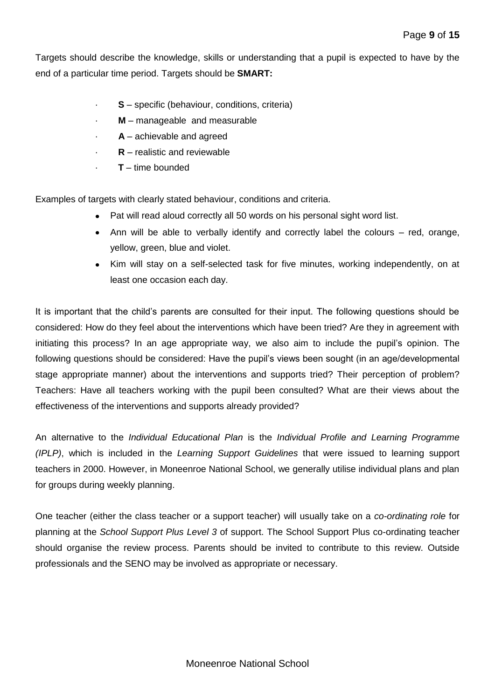Targets should describe the knowledge, skills or understanding that a pupil is expected to have by the end of a particular time period. Targets should be **SMART:**

- **S** specific (behaviour, conditions, criteria)
- **M** manageable and measurable
- · **A** achievable and agreed
- **R** realistic and reviewable
- · **T** time bounded

Examples of targets with clearly stated behaviour, conditions and criteria.

- Pat will read aloud correctly all 50 words on his personal sight word list.
- Ann will be able to verbally identify and correctly label the colours red, orange, yellow, green, blue and violet.
- Kim will stay on a self-selected task for five minutes, working independently, on at least one occasion each day.

It is important that the child's parents are consulted for their input. The following questions should be considered: How do they feel about the interventions which have been tried? Are they in agreement with initiating this process? In an age appropriate way, we also aim to include the pupil's opinion. The following questions should be considered: Have the pupil's views been sought (in an age/developmental stage appropriate manner) about the interventions and supports tried? Their perception of problem? Teachers: Have all teachers working with the pupil been consulted? What are their views about the effectiveness of the interventions and supports already provided?

An alternative to the *Individual Educational Plan* is the *Individual Profile and Learning Programme (IPLP)*, which is included in the *Learning Support Guidelines* that were issued to learning support teachers in 2000. However, in Moneenroe National School, we generally utilise individual plans and plan for groups during weekly planning.

One teacher (either the class teacher or a support teacher) will usually take on a *co-ordinating role* for planning at the *School Support Plus Level 3* of support. The School Support Plus co-ordinating teacher should organise the review process. Parents should be invited to contribute to this review. Outside professionals and the SENO may be involved as appropriate or necessary.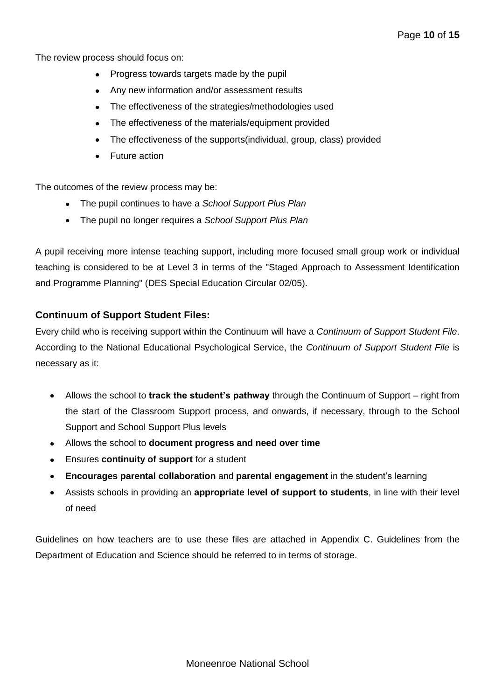The review process should focus on:

- Progress towards targets made by the pupil
- Any new information and/or assessment results
- The effectiveness of the strategies/methodologies used
- The effectiveness of the materials/equipment provided
- The effectiveness of the supports(individual, group, class) provided
- Future action

The outcomes of the review process may be:

- The pupil continues to have a *School Support Plus Plan*
- The pupil no longer requires a *School Support Plus Plan*

A pupil receiving more intense teaching support, including more focused small group work or individual teaching is considered to be at Level 3 in terms of the "Staged Approach to Assessment Identification and Programme Planning" (DES Special Education Circular 02/05).

#### **Continuum of Support Student Files:**

Every child who is receiving support within the Continuum will have a *Continuum of Support Student File*. According to the National Educational Psychological Service, the *Continuum of Support Student File* is necessary as it:

- Allows the school to **track the student's pathway** through the Continuum of Support right from  $\bullet$ the start of the Classroom Support process, and onwards, if necessary, through to the School Support and School Support Plus levels
- $\bullet$ Allows the school to **document progress and need over time**
- Ensures **continuity of support** for a student
- **Encourages parental collaboration** and **parental engagement** in the student's learning
- Assists schools in providing an **appropriate level of support to students**, in line with their level of need

Guidelines on how teachers are to use these files are attached in Appendix C. Guidelines from the Department of Education and Science should be referred to in terms of storage.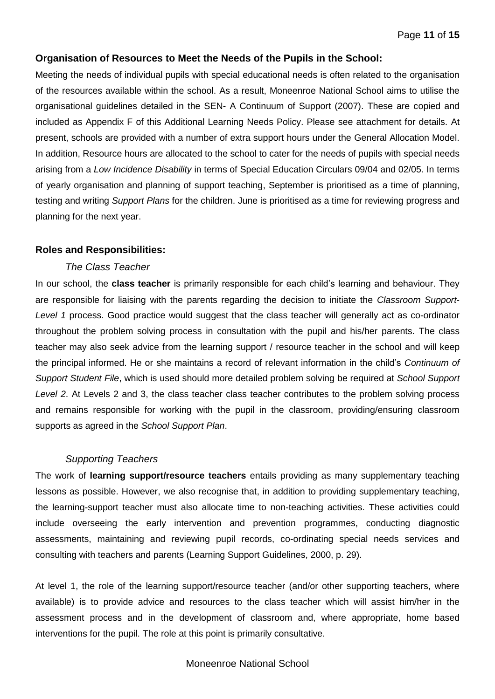#### **Organisation of Resources to Meet the Needs of the Pupils in the School:**

Meeting the needs of individual pupils with special educational needs is often related to the organisation of the resources available within the school. As a result, Moneenroe National School aims to utilise the organisational guidelines detailed in the SEN- A Continuum of Support (2007). These are copied and included as Appendix F of this Additional Learning Needs Policy. Please see attachment for details. At present, schools are provided with a number of extra support hours under the General Allocation Model. In addition, Resource hours are allocated to the school to cater for the needs of pupils with special needs arising from a *Low Incidence Disability* in terms of Special Education Circulars 09/04 and 02/05. In terms of yearly organisation and planning of support teaching, September is prioritised as a time of planning, testing and writing *Support Plans* for the children. June is prioritised as a time for reviewing progress and planning for the next year.

#### **Roles and Responsibilities:**

#### *The Class Teacher*

In our school, the **class teacher** is primarily responsible for each child's learning and behaviour. They are responsible for liaising with the parents regarding the decision to initiate the *Classroom Support*-*Level 1* process. Good practice would suggest that the class teacher will generally act as co-ordinator throughout the problem solving process in consultation with the pupil and his/her parents. The class teacher may also seek advice from the learning support / resource teacher in the school and will keep the principal informed. He or she maintains a record of relevant information in the child's *Continuum of Support Student File*, which is used should more detailed problem solving be required at *School Support Level 2*. At Levels 2 and 3, the class teacher class teacher contributes to the problem solving process and remains responsible for working with the pupil in the classroom, providing/ensuring classroom supports as agreed in the *School Support Plan*.

#### *Supporting Teachers*

The work of **learning support/resource teachers** entails providing as many supplementary teaching lessons as possible. However, we also recognise that, in addition to providing supplementary teaching, the learning-support teacher must also allocate time to non-teaching activities. These activities could include overseeing the early intervention and prevention programmes, conducting diagnostic assessments, maintaining and reviewing pupil records, co-ordinating special needs services and consulting with teachers and parents (Learning Support Guidelines, 2000, p. 29).

At level 1, the role of the learning support/resource teacher (and/or other supporting teachers, where available) is to provide advice and resources to the class teacher which will assist him/her in the assessment process and in the development of classroom and, where appropriate, home based interventions for the pupil. The role at this point is primarily consultative.

#### Moneenroe National School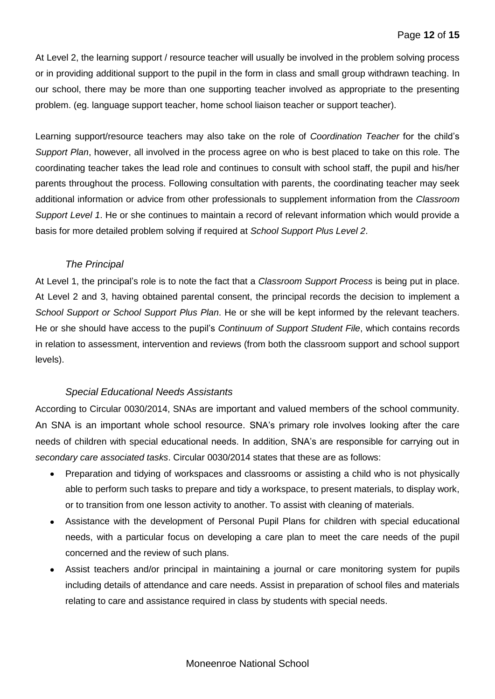At Level 2, the learning support / resource teacher will usually be involved in the problem solving process or in providing additional support to the pupil in the form in class and small group withdrawn teaching. In our school, there may be more than one supporting teacher involved as appropriate to the presenting problem. (eg. language support teacher, home school liaison teacher or support teacher).

Learning support/resource teachers may also take on the role of *Coordination Teacher* for the child's *Support Plan*, however, all involved in the process agree on who is best placed to take on this role. The coordinating teacher takes the lead role and continues to consult with school staff, the pupil and his/her parents throughout the process. Following consultation with parents, the coordinating teacher may seek additional information or advice from other professionals to supplement information from the *Classroom Support Level 1*. He or she continues to maintain a record of relevant information which would provide a basis for more detailed problem solving if required at *School Support Plus Level 2*.

#### *The Principal*

At Level 1, the principal's role is to note the fact that a *Classroom Support Process* is being put in place. At Level 2 and 3, having obtained parental consent, the principal records the decision to implement a *School Support or School Support Plus Plan*. He or she will be kept informed by the relevant teachers. He or she should have access to the pupil's *Continuum of Support Student File*, which contains records in relation to assessment, intervention and reviews (from both the classroom support and school support levels).

#### *Special Educational Needs Assistants*

According to Circular 0030/2014, SNAs are important and valued members of the school community. An SNA is an important whole school resource. SNA's primary role involves looking after the care needs of children with special educational needs. In addition, SNA's are responsible for carrying out in *secondary care associated tasks*. Circular 0030/2014 states that these are as follows:

- Preparation and tidying of workspaces and classrooms or assisting a child who is not physically  $\bullet$ able to perform such tasks to prepare and tidy a workspace, to present materials, to display work, or to transition from one lesson activity to another. To assist with cleaning of materials.
- Assistance with the development of Personal Pupil Plans for children with special educational needs, with a particular focus on developing a care plan to meet the care needs of the pupil concerned and the review of such plans.
- Assist teachers and/or principal in maintaining a journal or care monitoring system for pupils including details of attendance and care needs. Assist in preparation of school files and materials relating to care and assistance required in class by students with special needs.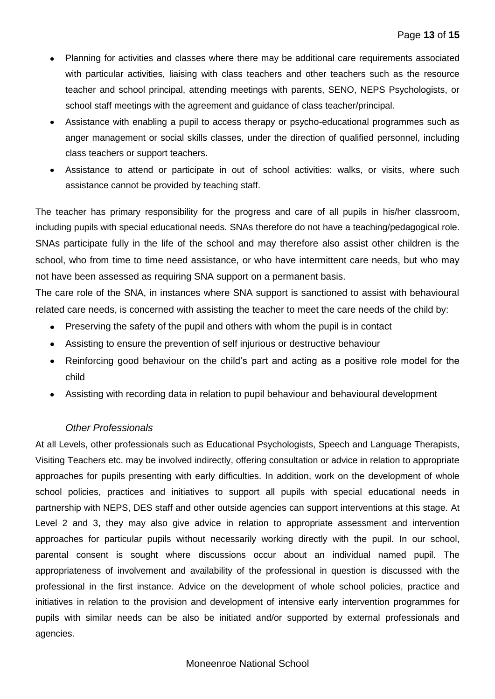- Planning for activities and classes where there may be additional care requirements associated with particular activities, liaising with class teachers and other teachers such as the resource teacher and school principal, attending meetings with parents, SENO, NEPS Psychologists, or school staff meetings with the agreement and guidance of class teacher/principal.
- Assistance with enabling a pupil to access therapy or psycho-educational programmes such as anger management or social skills classes, under the direction of qualified personnel, including class teachers or support teachers.
- Assistance to attend or participate in out of school activities: walks, or visits, where such assistance cannot be provided by teaching staff.

The teacher has primary responsibility for the progress and care of all pupils in his/her classroom, including pupils with special educational needs. SNAs therefore do not have a teaching/pedagogical role. SNAs participate fully in the life of the school and may therefore also assist other children is the school, who from time to time need assistance, or who have intermittent care needs, but who may not have been assessed as requiring SNA support on a permanent basis.

The care role of the SNA, in instances where SNA support is sanctioned to assist with behavioural related care needs, is concerned with assisting the teacher to meet the care needs of the child by:

- Preserving the safety of the pupil and others with whom the pupil is in contact
- Assisting to ensure the prevention of self injurious or destructive behaviour
- Reinforcing good behaviour on the child's part and acting as a positive role model for the child
- Assisting with recording data in relation to pupil behaviour and behavioural development

#### *Other Professionals*

At all Levels, other professionals such as Educational Psychologists, Speech and Language Therapists, Visiting Teachers etc. may be involved indirectly, offering consultation or advice in relation to appropriate approaches for pupils presenting with early difficulties. In addition, work on the development of whole school policies, practices and initiatives to support all pupils with special educational needs in partnership with NEPS, DES staff and other outside agencies can support interventions at this stage. At Level 2 and 3, they may also give advice in relation to appropriate assessment and intervention approaches for particular pupils without necessarily working directly with the pupil. In our school, parental consent is sought where discussions occur about an individual named pupil. The appropriateness of involvement and availability of the professional in question is discussed with the professional in the first instance. Advice on the development of whole school policies, practice and initiatives in relation to the provision and development of intensive early intervention programmes for pupils with similar needs can be also be initiated and/or supported by external professionals and agencies.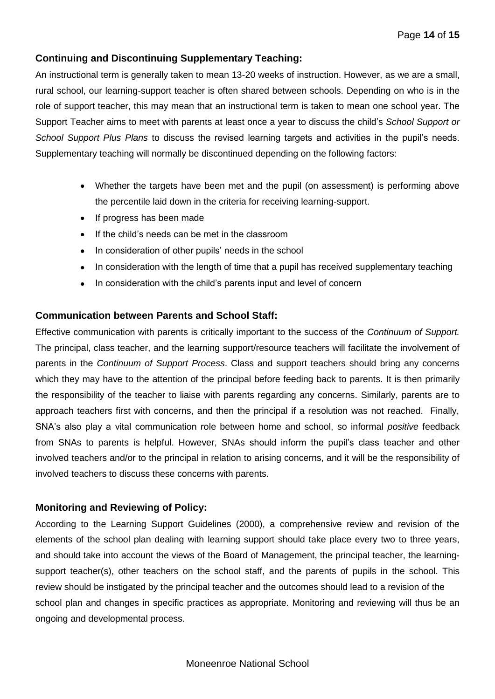### **Continuing and Discontinuing Supplementary Teaching:**

An instructional term is generally taken to mean 13-20 weeks of instruction. However, as we are a small, rural school, our learning-support teacher is often shared between schools. Depending on who is in the role of support teacher, this may mean that an instructional term is taken to mean one school year. The Support Teacher aims to meet with parents at least once a year to discuss the child's *School Support or School Support Plus Plans* to discuss the revised learning targets and activities in the pupil's needs. Supplementary teaching will normally be discontinued depending on the following factors:

- Whether the targets have been met and the pupil (on assessment) is performing above the percentile laid down in the criteria for receiving learning-support.
- If progress has been made
- If the child's needs can be met in the classroom
- In consideration of other pupils' needs in the school
- In consideration with the length of time that a pupil has received supplementary teaching
- In consideration with the child's parents input and level of concern  $\bullet$

#### **Communication between Parents and School Staff:**

Effective communication with parents is critically important to the success of the *Continuum of Support.* The principal, class teacher, and the learning support/resource teachers will facilitate the involvement of parents in the *Continuum of Support Process*. Class and support teachers should bring any concerns which they may have to the attention of the principal before feeding back to parents. It is then primarily the responsibility of the teacher to liaise with parents regarding any concerns. Similarly, parents are to approach teachers first with concerns, and then the principal if a resolution was not reached. Finally, SNA's also play a vital communication role between home and school, so informal *positive* feedback from SNAs to parents is helpful. However, SNAs should inform the pupil's class teacher and other involved teachers and/or to the principal in relation to arising concerns, and it will be the responsibility of involved teachers to discuss these concerns with parents.

#### **Monitoring and Reviewing of Policy:**

According to the Learning Support Guidelines (2000), a comprehensive review and revision of the elements of the school plan dealing with learning support should take place every two to three years, and should take into account the views of the Board of Management, the principal teacher, the learningsupport teacher(s), other teachers on the school staff, and the parents of pupils in the school. This review should be instigated by the principal teacher and the outcomes should lead to a revision of the school plan and changes in specific practices as appropriate. Monitoring and reviewing will thus be an ongoing and developmental process.